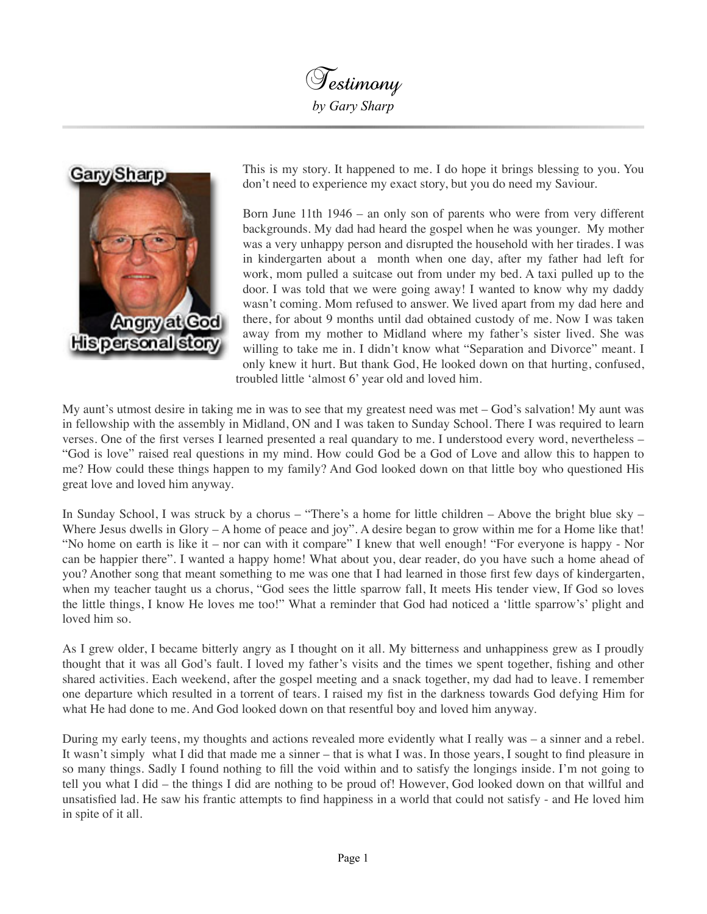Testimony *by Gary Sharp*



This is my story. It happened to me. I do hope it brings blessing to you. You don't need to experience my exact story, but you do need my Saviour.

Born June 11th 1946 – an only son of parents who were from very different backgrounds. My dad had heard the gospel when he was younger. My mother was a very unhappy person and disrupted the household with her tirades. I was in kindergarten about a month when one day, after my father had left for work, mom pulled a suitcase out from under my bed. A taxi pulled up to the door. I was told that we were going away! I wanted to know why my daddy wasn't coming. Mom refused to answer. We lived apart from my dad here and there, for about 9 months until dad obtained custody of me. Now I was taken away from my mother to Midland where my father's sister lived. She was willing to take me in. I didn't know what "Separation and Divorce" meant. I only knew it hurt. But thank God, He looked down on that hurting, confused, troubled little 'almost 6' year old and loved him.

My aunt's utmost desire in taking me in was to see that my greatest need was met – God's salvation! My aunt was in fellowship with the assembly in Midland, ON and I was taken to Sunday School. There I was required to learn verses. One of the first verses I learned presented a real quandary to me. I understood every word, nevertheless – "God is love" raised real questions in my mind. How could God be a God of Love and allow this to happen to me? How could these things happen to my family? And God looked down on that little boy who questioned His great love and loved him anyway.

In Sunday School, I was struck by a chorus – "There's a home for little children – Above the bright blue sky – Where Jesus dwells in Glory – A home of peace and joy". A desire began to grow within me for a Home like that! "No home on earth is like it – nor can with it compare" I knew that well enough! "For everyone is happy - Nor can be happier there". I wanted a happy home! What about you, dear reader, do you have such a home ahead of you? Another song that meant something to me was one that I had learned in those first few days of kindergarten, when my teacher taught us a chorus, "God sees the little sparrow fall, It meets His tender view, If God so loves the little things, I know He loves me too!" What a reminder that God had noticed a 'little sparrow's' plight and loved him so.

As I grew older, I became bitterly angry as I thought on it all. My bitterness and unhappiness grew as I proudly thought that it was all God's fault. I loved my father's visits and the times we spent together, fishing and other shared activities. Each weekend, after the gospel meeting and a snack together, my dad had to leave. I remember one departure which resulted in a torrent of tears. I raised my fist in the darkness towards God defying Him for what He had done to me. And God looked down on that resentful boy and loved him anyway.

During my early teens, my thoughts and actions revealed more evidently what I really was – a sinner and a rebel. It wasn't simply what I did that made me a sinner – that is what I was. In those years, I sought to find pleasure in so many things. Sadly I found nothing to fill the void within and to satisfy the longings inside. I'm not going to tell you what I did – the things I did are nothing to be proud of! However, God looked down on that willful and unsatisfied lad. He saw his frantic attempts to find happiness in a world that could not satisfy - and He loved him in spite of it all.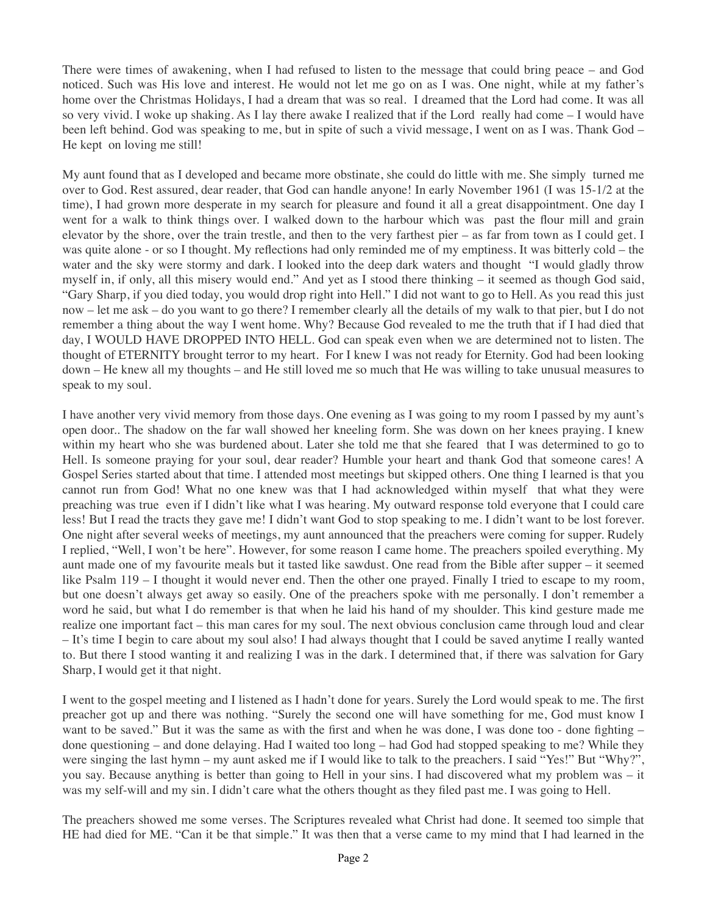There were times of awakening, when I had refused to listen to the message that could bring peace – and God noticed. Such was His love and interest. He would not let me go on as I was. One night, while at my father's home over the Christmas Holidays, I had a dream that was so real. I dreamed that the Lord had come. It was all so very vivid. I woke up shaking. As I lay there awake I realized that if the Lord really had come – I would have been left behind. God was speaking to me, but in spite of such a vivid message, I went on as I was. Thank God – He kept on loving me still!

My aunt found that as I developed and became more obstinate, she could do little with me. She simply turned me over to God. Rest assured, dear reader, that God can handle anyone! In early November 1961 (I was 15-1/2 at the time), I had grown more desperate in my search for pleasure and found it all a great disappointment. One day I went for a walk to think things over. I walked down to the harbour which was past the flour mill and grain elevator by the shore, over the train trestle, and then to the very farthest pier – as far from town as I could get. I was quite alone - or so I thought. My reflections had only reminded me of my emptiness. It was bitterly cold – the water and the sky were stormy and dark. I looked into the deep dark waters and thought "I would gladly throw myself in, if only, all this misery would end." And yet as I stood there thinking – it seemed as though God said, "Gary Sharp, if you died today, you would drop right into Hell." I did not want to go to Hell. As you read this just now – let me ask – do you want to go there? I remember clearly all the details of my walk to that pier, but I do not remember a thing about the way I went home. Why? Because God revealed to me the truth that if I had died that day, I WOULD HAVE DROPPED INTO HELL. God can speak even when we are determined not to listen. The thought of ETERNITY brought terror to my heart. For I knew I was not ready for Eternity. God had been looking down – He knew all my thoughts – and He still loved me so much that He was willing to take unusual measures to speak to my soul.

I have another very vivid memory from those days. One evening as I was going to my room I passed by my aunt's open door.. The shadow on the far wall showed her kneeling form. She was down on her knees praying. I knew within my heart who she was burdened about. Later she told me that she feared that I was determined to go to Hell. Is someone praying for your soul, dear reader? Humble your heart and thank God that someone cares! A Gospel Series started about that time. I attended most meetings but skipped others. One thing I learned is that you cannot run from God! What no one knew was that I had acknowledged within myself that what they were preaching was true even if I didn't like what I was hearing. My outward response told everyone that I could care less! But I read the tracts they gave me! I didn't want God to stop speaking to me. I didn't want to be lost forever. One night after several weeks of meetings, my aunt announced that the preachers were coming for supper. Rudely I replied, "Well, I won't be here". However, for some reason I came home. The preachers spoiled everything. My aunt made one of my favourite meals but it tasted like sawdust. One read from the Bible after supper – it seemed like Psalm 119 – I thought it would never end. Then the other one prayed. Finally I tried to escape to my room, but one doesn't always get away so easily. One of the preachers spoke with me personally. I don't remember a word he said, but what I do remember is that when he laid his hand of my shoulder. This kind gesture made me realize one important fact – this man cares for my soul. The next obvious conclusion came through loud and clear – It's time I begin to care about my soul also! I had always thought that I could be saved anytime I really wanted to. But there I stood wanting it and realizing I was in the dark. I determined that, if there was salvation for Gary Sharp, I would get it that night.

I went to the gospel meeting and I listened as I hadn't done for years. Surely the Lord would speak to me. The first preacher got up and there was nothing. "Surely the second one will have something for me, God must know I want to be saved." But it was the same as with the first and when he was done, I was done too - done fighting – done questioning – and done delaying. Had I waited too long – had God had stopped speaking to me? While they were singing the last hymn – my aunt asked me if I would like to talk to the preachers. I said "Yes!" But "Why?", you say. Because anything is better than going to Hell in your sins. I had discovered what my problem was – it was my self-will and my sin. I didn't care what the others thought as they filed past me. I was going to Hell.

The preachers showed me some verses. The Scriptures revealed what Christ had done. It seemed too simple that HE had died for ME. "Can it be that simple." It was then that a verse came to my mind that I had learned in the